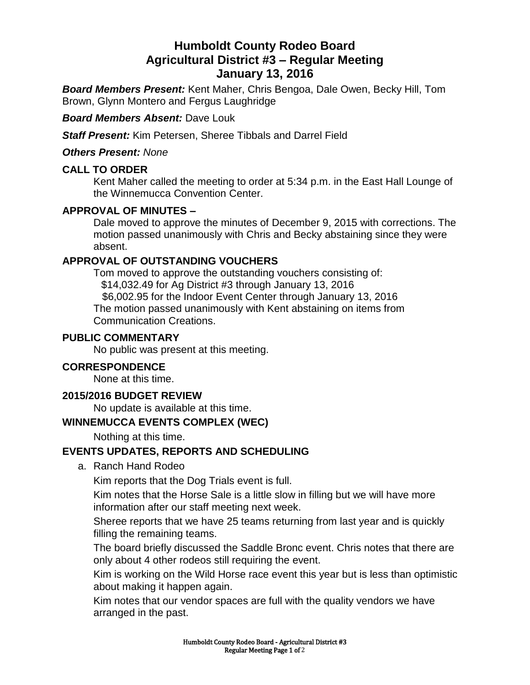# **Humboldt County Rodeo Board Agricultural District #3 – Regular Meeting January 13, 2016**

*Board Members Present:* Kent Maher, Chris Bengoa, Dale Owen, Becky Hill, Tom Brown, Glynn Montero and Fergus Laughridge

## *Board Members Absent:* Dave Louk

*Staff Present:* Kim Petersen, Sheree Tibbals and Darrel Field

### *Others Present: None*

# **CALL TO ORDER**

Kent Maher called the meeting to order at 5:34 p.m. in the East Hall Lounge of the Winnemucca Convention Center.

# **APPROVAL OF MINUTES –**

Dale moved to approve the minutes of December 9, 2015 with corrections. The motion passed unanimously with Chris and Becky abstaining since they were absent.

## **APPROVAL OF OUTSTANDING VOUCHERS**

Tom moved to approve the outstanding vouchers consisting of: \$14,032.49 for Ag District #3 through January 13, 2016 \$6,002.95 for the Indoor Event Center through January 13, 2016 The motion passed unanimously with Kent abstaining on items from Communication Creations.

### **PUBLIC COMMENTARY**

No public was present at this meeting.

## **CORRESPONDENCE**

None at this time.

### **2015/2016 BUDGET REVIEW**

No update is available at this time.

#### **WINNEMUCCA EVENTS COMPLEX (WEC)**

Nothing at this time.

# **EVENTS UPDATES, REPORTS AND SCHEDULING**

a. Ranch Hand Rodeo

Kim reports that the Dog Trials event is full.

Kim notes that the Horse Sale is a little slow in filling but we will have more information after our staff meeting next week.

Sheree reports that we have 25 teams returning from last year and is quickly filling the remaining teams.

The board briefly discussed the Saddle Bronc event. Chris notes that there are only about 4 other rodeos still requiring the event.

Kim is working on the Wild Horse race event this year but is less than optimistic about making it happen again.

Kim notes that our vendor spaces are full with the quality vendors we have arranged in the past.